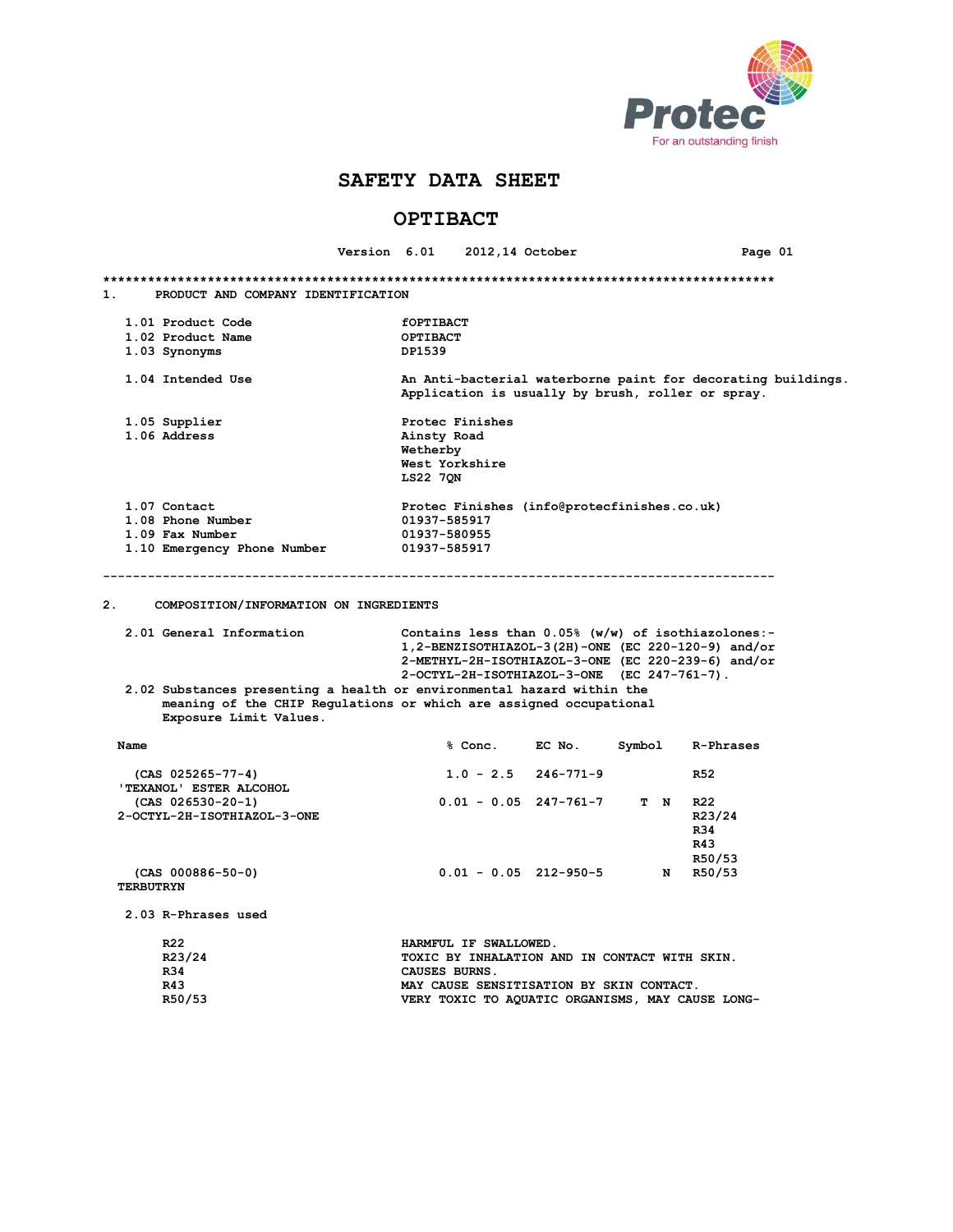

# **OPTIBACT**

|                                                                                                                                                                                                                                              |  |                                                                                                                   | Version 6.01 2012,14 October |                                             |             | Page 01         |  |
|----------------------------------------------------------------------------------------------------------------------------------------------------------------------------------------------------------------------------------------------|--|-------------------------------------------------------------------------------------------------------------------|------------------------------|---------------------------------------------|-------------|-----------------|--|
|                                                                                                                                                                                                                                              |  |                                                                                                                   |                              |                                             |             |                 |  |
| 1.<br>PRODUCT AND COMPANY IDENTIFICATION                                                                                                                                                                                                     |  |                                                                                                                   |                              |                                             |             |                 |  |
| 1.01 Product Code                                                                                                                                                                                                                            |  | <b>fOPTIBACT</b>                                                                                                  |                              |                                             |             |                 |  |
| 1.02 Product Name                                                                                                                                                                                                                            |  | OPTIBACT                                                                                                          |                              |                                             |             |                 |  |
| 1.03 Synonyms                                                                                                                                                                                                                                |  | DP1539                                                                                                            |                              |                                             |             |                 |  |
| 1.04 Intended Use                                                                                                                                                                                                                            |  | An Anti-bacterial waterborne paint for decorating buildings.<br>Application is usually by brush, roller or spray. |                              |                                             |             |                 |  |
| 1.05 Supplier                                                                                                                                                                                                                                |  |                                                                                                                   | Protec Finishes              |                                             |             |                 |  |
| 1.06 Address                                                                                                                                                                                                                                 |  | Ainsty Road                                                                                                       |                              |                                             |             |                 |  |
|                                                                                                                                                                                                                                              |  | Wetherby                                                                                                          |                              |                                             |             |                 |  |
|                                                                                                                                                                                                                                              |  |                                                                                                                   | West Yorkshire               |                                             |             |                 |  |
|                                                                                                                                                                                                                                              |  | <b>LS22 70N</b>                                                                                                   |                              |                                             |             |                 |  |
| 1.07 Contact                                                                                                                                                                                                                                 |  |                                                                                                                   |                              | Protec Finishes (info@protecfinishes.co.uk) |             |                 |  |
| 1.08 Phone Number                                                                                                                                                                                                                            |  | 01937-585917                                                                                                      |                              |                                             |             |                 |  |
| 1.09 Fax Number                                                                                                                                                                                                                              |  | 01937-580955                                                                                                      |                              |                                             |             |                 |  |
| 1.10 Emergency Phone Number                                                                                                                                                                                                                  |  | 01937-585917                                                                                                      |                              |                                             |             |                 |  |
|                                                                                                                                                                                                                                              |  |                                                                                                                   |                              |                                             |             |                 |  |
| 2.<br>COMPOSITION/INFORMATION ON INGREDIENTS                                                                                                                                                                                                 |  |                                                                                                                   |                              |                                             |             |                 |  |
| 2.01 General Information<br>Contains less than $0.05%$ (w/w) of isothiazolones:-<br>1, 2-BENZISOTHIAZOL-3(2H)-ONE (EC 220-120-9) and/or<br>2-METHYL-2H-ISOTHIAZOL-3-ONE (EC 220-239-6) and/or<br>2-OCTYL-2H-ISOTHIAZOL-3-ONE (EC 247-761-7). |  |                                                                                                                   |                              |                                             |             |                 |  |
| 2.02 Substances presenting a health or environmental hazard within the<br>meaning of the CHIP Regulations or which are assigned occupational<br>Exposure Limit Values.                                                                       |  |                                                                                                                   |                              |                                             |             |                 |  |
| Name                                                                                                                                                                                                                                         |  |                                                                                                                   |                              | % Conc. EC No.                              | Symbol      | R-Phrases       |  |
| $(CAS 025265 - 77 - 4)$<br>'TEXANOL' ESTER ALCOHOL                                                                                                                                                                                           |  |                                                                                                                   | $1.0 - 2.5$                  | 246-771-9                                   |             | <b>R52</b>      |  |
| $(CAS 026530-20-1)$                                                                                                                                                                                                                          |  |                                                                                                                   |                              | $0.01 - 0.05$ 247-761-7                     | T N         | R <sub>22</sub> |  |
| 2-OCTYL-2H-ISOTHIAZOL-3-ONE                                                                                                                                                                                                                  |  |                                                                                                                   |                              |                                             |             | R23/24          |  |
|                                                                                                                                                                                                                                              |  |                                                                                                                   |                              |                                             |             | R34             |  |
|                                                                                                                                                                                                                                              |  |                                                                                                                   |                              |                                             |             | R43             |  |
|                                                                                                                                                                                                                                              |  |                                                                                                                   |                              |                                             |             |                 |  |
|                                                                                                                                                                                                                                              |  |                                                                                                                   |                              |                                             |             | R50/53          |  |
| $(CAS 000886 - 50 - 0)$<br><b>TERBUTRYN</b>                                                                                                                                                                                                  |  |                                                                                                                   |                              | $0.01 - 0.05$ 212-950-5                     | $\mathbf N$ | R50/53          |  |
| 2.03 R-Phrases used                                                                                                                                                                                                                          |  |                                                                                                                   |                              |                                             |             |                 |  |
| R <sub>22</sub>                                                                                                                                                                                                                              |  |                                                                                                                   | HARMFUL IF SWALLOWED.        |                                             |             |                 |  |
| R23/24                                                                                                                                                                                                                                       |  | TOXIC BY INHALATION AND IN CONTACT WITH SKIN.                                                                     |                              |                                             |             |                 |  |
| R34                                                                                                                                                                                                                                          |  | CAUSES BURNS.                                                                                                     |                              |                                             |             |                 |  |

R43 MAY CAUSE SENSITISATION BY SKIN CONTACT.<br>R50/53 **MAY CAUSE SENSITISATION BY SKIN CAU** VERY TOXIC TO AQUATIC ORGANISMS, MAY CAUSE LONG-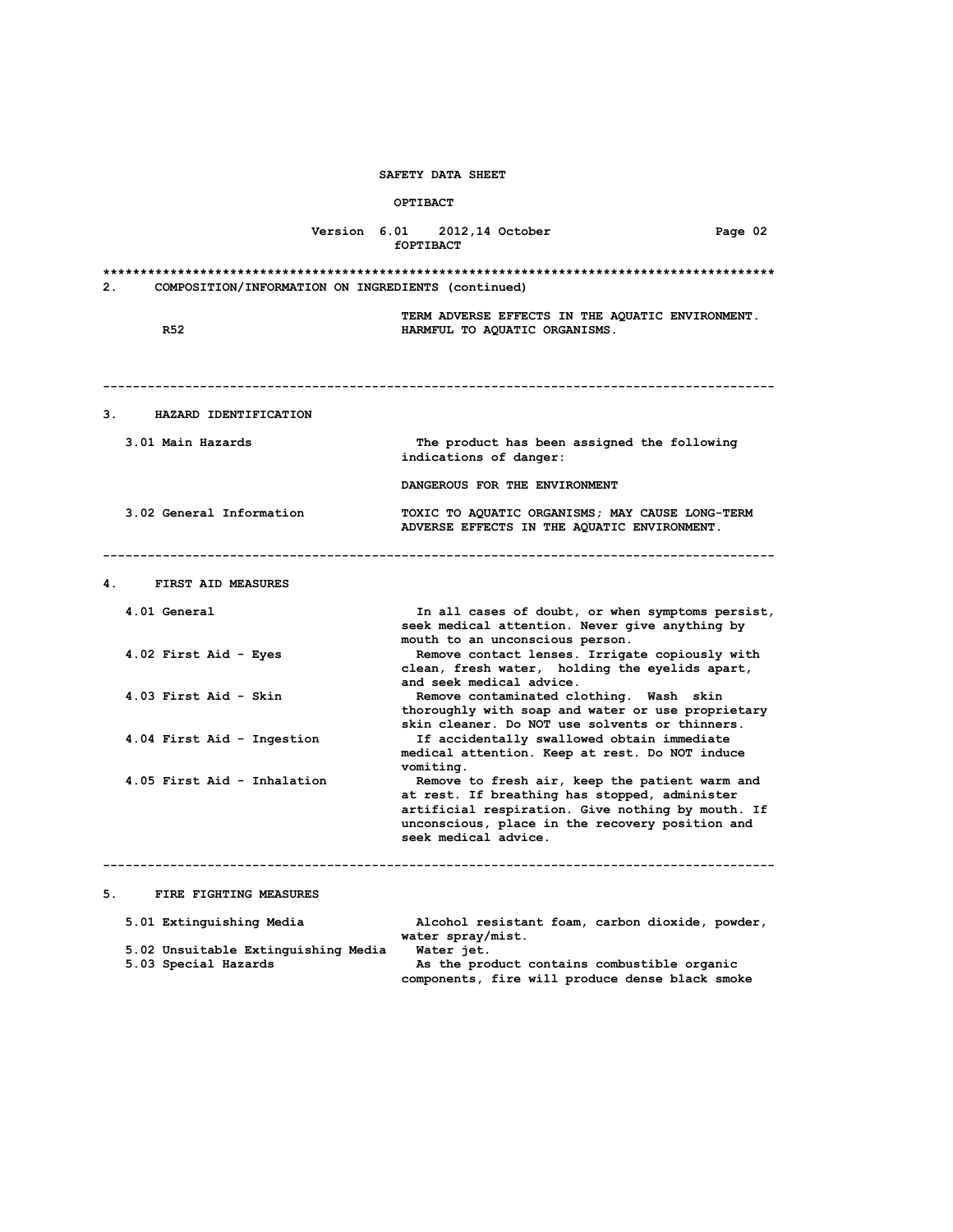## **OPTIBACT**

|    |                                                             |  | Version 6.01 2012,14 October<br>fOPTIBACT                                                                                                                                                                                       | Page 02 |
|----|-------------------------------------------------------------|--|---------------------------------------------------------------------------------------------------------------------------------------------------------------------------------------------------------------------------------|---------|
| 2. | COMPOSITION/INFORMATION ON INGREDIENTS (continued)          |  |                                                                                                                                                                                                                                 |         |
|    | R52                                                         |  | TERM ADVERSE EFFECTS IN THE AQUATIC ENVIRONMENT.<br>HARMFUL TO AQUATIC ORGANISMS.                                                                                                                                               |         |
| 3. | HAZARD IDENTIFICATION                                       |  |                                                                                                                                                                                                                                 |         |
|    | 3.01 Main Hazards                                           |  | The product has been assigned the following<br>indications of danger:                                                                                                                                                           |         |
|    |                                                             |  | DANGEROUS FOR THE ENVIRONMENT                                                                                                                                                                                                   |         |
|    | 3.02 General Information                                    |  | TOXIC TO AQUATIC ORGANISMS; MAY CAUSE LONG-TERM<br>ADVERSE EFFECTS IN THE AQUATIC ENVIRONMENT.                                                                                                                                  |         |
| 4. | FIRST AID MEASURES                                          |  |                                                                                                                                                                                                                                 |         |
|    | 4.01 General                                                |  | In all cases of doubt, or when symptoms persist,<br>seek medical attention. Never give anything by<br>mouth to an unconscious person.                                                                                           |         |
|    | 4.02 First Aid - Eyes                                       |  | Remove contact lenses. Irrigate copiously with<br>clean, fresh water, holding the eyelids apart,<br>and seek medical advice.                                                                                                    |         |
|    | 4.03 First Aid - Skin                                       |  | Remove contaminated clothing. Wash skin<br>thoroughly with soap and water or use proprietary<br>skin cleaner. Do NOT use solvents or thinners.                                                                                  |         |
|    | 4.04 First Aid - Ingestion                                  |  | If accidentally swallowed obtain immediate<br>medical attention. Keep at rest. Do NOT induce<br>vomiting.                                                                                                                       |         |
|    | 4.05 First Aid - Inhalation                                 |  | Remove to fresh air, keep the patient warm and<br>at rest. If breathing has stopped, administer<br>artificial respiration. Give nothing by mouth. If<br>unconscious, place in the recovery position and<br>seek medical advice. |         |
|    |                                                             |  |                                                                                                                                                                                                                                 |         |
|    | 5.<br>FIRE FIGHTING MEASURES                                |  |                                                                                                                                                                                                                                 |         |
|    | 5.01 Extinguishing Media                                    |  | Alcohol resistant foam, carbon dioxide, powder,<br>water spray/mist.                                                                                                                                                            |         |
|    | 5.02 Unsuitable Extinguishing Media<br>5.03 Special Hazards |  | Water jet.<br>As the product contains combustible organic                                                                                                                                                                       |         |

 **5.03 Special Hazards As the product contains combustible organic components, fire will produce dense black smoke**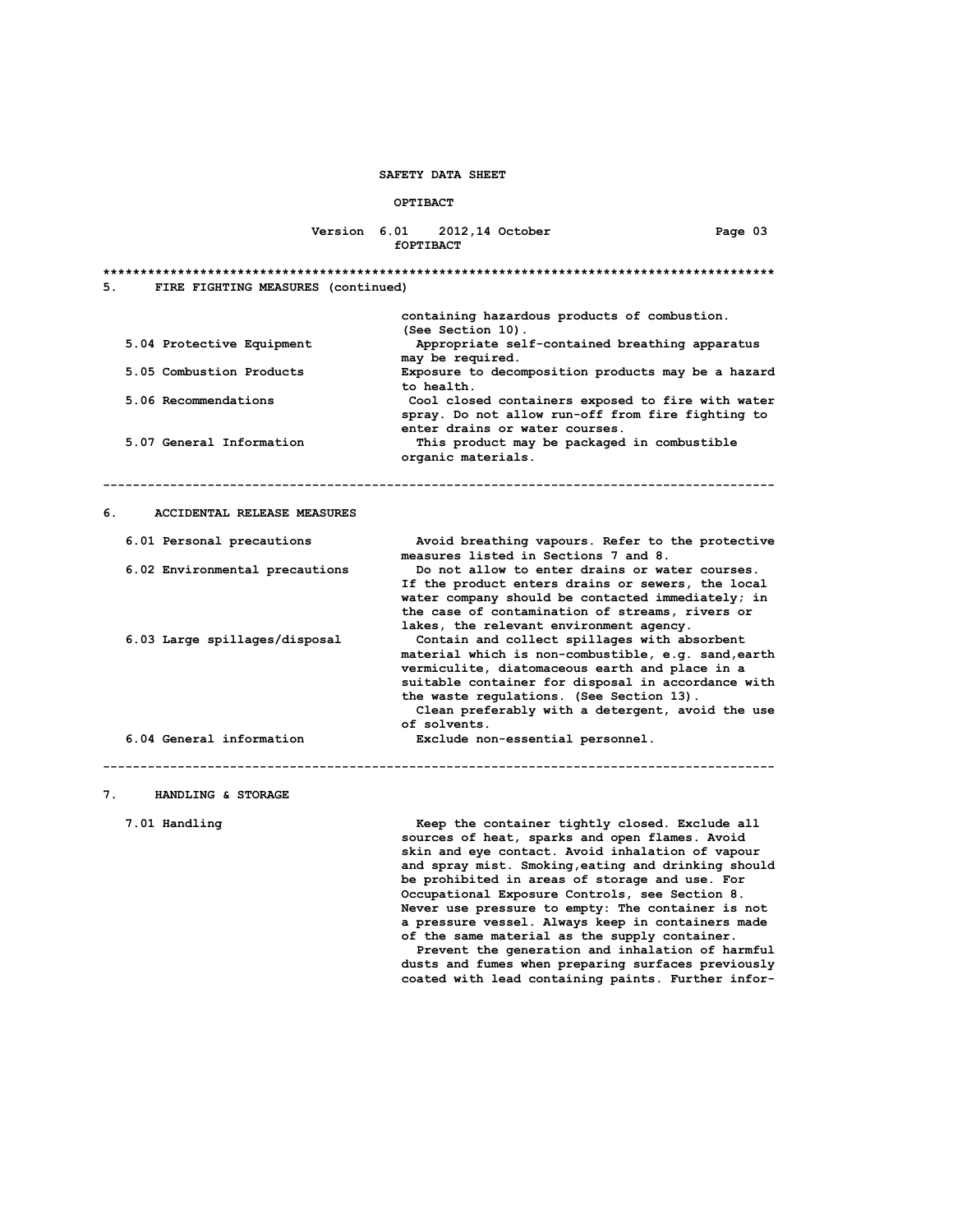#### **OPTIBACT**

## **Version 6.01 2012,14 October Page 03 fOPTIBACT**

**\*\*\*\*\*\*\*\*\*\*\*\*\*\*\*\*\*\*\*\*\*\*\*\*\*\*\*\*\*\*\*\*\*\*\*\*\*\*\*\*\*\*\*\*\*\*\*\*\*\*\*\*\*\*\*\*\*\*\*\*\*\*\*\*\*\*\*\*\*\*\*\*\*\*\*\*\*\*\*\*\*\*\*\*\*\*\*\*\*\* 5. FIRE FIGHTING MEASURES (continued) containing hazardous products of combustion. (See Section 10). 5.04 Protective Equipment Appropriate self-contained breathing apparatus may be required. 5.05 Combustion Products Exposure to decomposition products may be a hazard** to health.<br>5.06 Recommendations **the comment of the comment of the comment of the comment of the comment of the comment of** Cool closed containers exposed to fire with water  **spray. Do not allow run-off from fire fighting to enter drains or water courses. 5.07 General Information This product may be packaged in combustible organic materials. ------------------------------------------------------------------------------------------ 6. ACCIDENTAL RELEASE MEASURES 6.01 Personal precautions Avoid breathing vapours. Refer to the protective measures listed in Sections 7 and 8. 6.02 Environmental precautions Do not allow to enter drains or water courses. If the product enters drains or sewers, the local water company should be contacted immediately; in the case of contamination of streams, rivers or lakes, the relevant environment agency. 6.03 Large spillages/disposal Contain and collect spillages with absorbent material which is non-combustible, e.g. sand,earth vermiculite, diatomaceous earth and place in a suitable container for disposal in accordance with the waste regulations. (See Section 13). Clean preferably with a detergent, avoid the use of solvents. 6.04 General information Exclude non-essential personnel.**

**------------------------------------------------------------------------------------------**

# **7. HANDLING & STORAGE**

 **7.01 Handling Keep the container tightly closed. Exclude all sources of heat, sparks and open flames. Avoid skin and eye contact. Avoid inhalation of vapour and spray mist. Smoking,eating and drinking should be prohibited in areas of storage and use. For Occupational Exposure Controls, see Section 8. Never use pressure to empty: The container is not a pressure vessel. Always keep in containers made of the same material as the supply container.**

> **Prevent the generation and inhalation of harmful dusts and fumes when preparing surfaces previously coated with lead containing paints. Further infor-**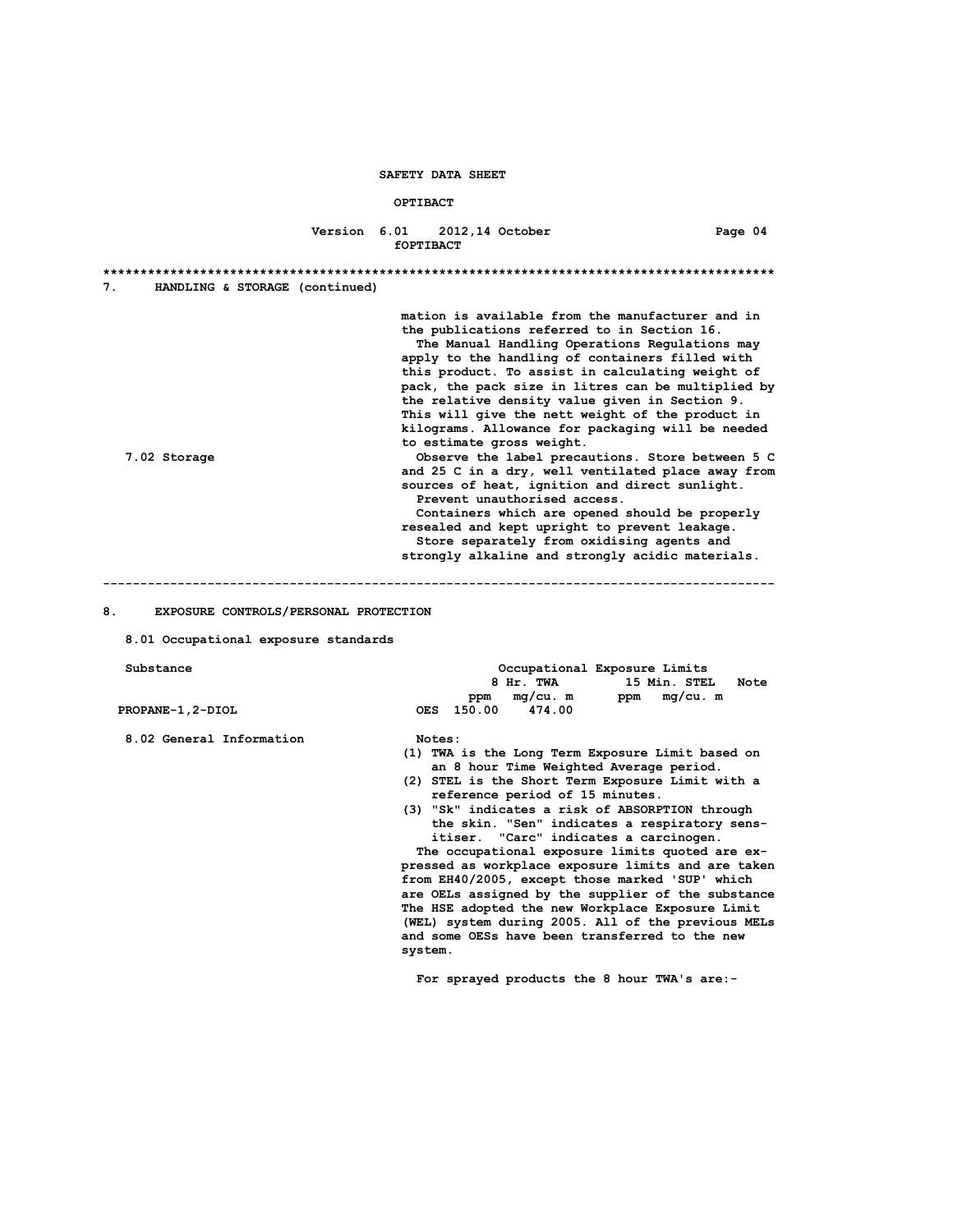## **OPTIBACT**

### **Version 6.01 2012,14 October Page 04** *fOPTIBACT*

| 7.<br>HANDLING & STORAGE (continued)                                                |                                                                                                                                                                                                                                                                                                                                                                                                                                                                                                                                                                                                                                                                                                                                                                                                                                                                                                         |
|-------------------------------------------------------------------------------------|---------------------------------------------------------------------------------------------------------------------------------------------------------------------------------------------------------------------------------------------------------------------------------------------------------------------------------------------------------------------------------------------------------------------------------------------------------------------------------------------------------------------------------------------------------------------------------------------------------------------------------------------------------------------------------------------------------------------------------------------------------------------------------------------------------------------------------------------------------------------------------------------------------|
| 7.02 Storage                                                                        | mation is available from the manufacturer and in<br>the publications referred to in Section 16.<br>The Manual Handling Operations Regulations may<br>apply to the handling of containers filled with<br>this product. To assist in calculating weight of<br>pack, the pack size in litres can be multiplied by<br>the relative density value given in Section 9.<br>This will give the nett weight of the product in<br>kilograms. Allowance for packaging will be needed<br>to estimate gross weight.<br>Observe the label precautions. Store between 5 C<br>and 25 C in a dry, well ventilated place away from<br>sources of heat, ignition and direct sunlight.<br>Prevent unauthorised access.<br>Containers which are opened should be properly<br>resealed and kept upright to prevent leakage.<br>Store separately from oxidising agents and<br>strongly alkaline and strongly acidic materials. |
|                                                                                     |                                                                                                                                                                                                                                                                                                                                                                                                                                                                                                                                                                                                                                                                                                                                                                                                                                                                                                         |
| 8.<br>EXPOSURE CONTROLS/PERSONAL PROTECTION<br>8.01 Occupational exposure standards |                                                                                                                                                                                                                                                                                                                                                                                                                                                                                                                                                                                                                                                                                                                                                                                                                                                                                                         |
| Substance                                                                           | Occupational Exposure Limits<br>8 Hr. TWA<br>15 Min. STEL<br>Note<br>mg/cu.m<br>$mq/cu$ . m<br>ppm<br>ppm                                                                                                                                                                                                                                                                                                                                                                                                                                                                                                                                                                                                                                                                                                                                                                                               |
| PROPANE-1, 2-DIOL                                                                   | OES 150.00<br>474.00                                                                                                                                                                                                                                                                                                                                                                                                                                                                                                                                                                                                                                                                                                                                                                                                                                                                                    |
| 8.02 General Information                                                            | Notes:<br>(1) TWA is the Long Term Exposure Limit based on<br>an 8 hour Time Weighted Average period.<br>(2) STEL is the Short Term Exposure Limit with a<br>reference period of 15 minutes.<br>(3) "Sk" indicates a risk of ABSORPTION through<br>the skin. "Sen" indicates a respiratory sens-<br>itiser. "Carc" indicates a carcinogen.<br>The occupational exposure limits quoted are ex-<br>pressed as workplace exposure limits and are taken<br>from EH40/2005, except those marked 'SUP' which<br>are OELs assigned by the supplier of the substance<br>The HSE adopted the new Workplace Exposure Limit<br>(WEL) system during 2005. All of the previous MELs<br>and some OESs have been transferred to the new<br>system.                                                                                                                                                                     |

 **For sprayed products the 8 hour TWA's are:-**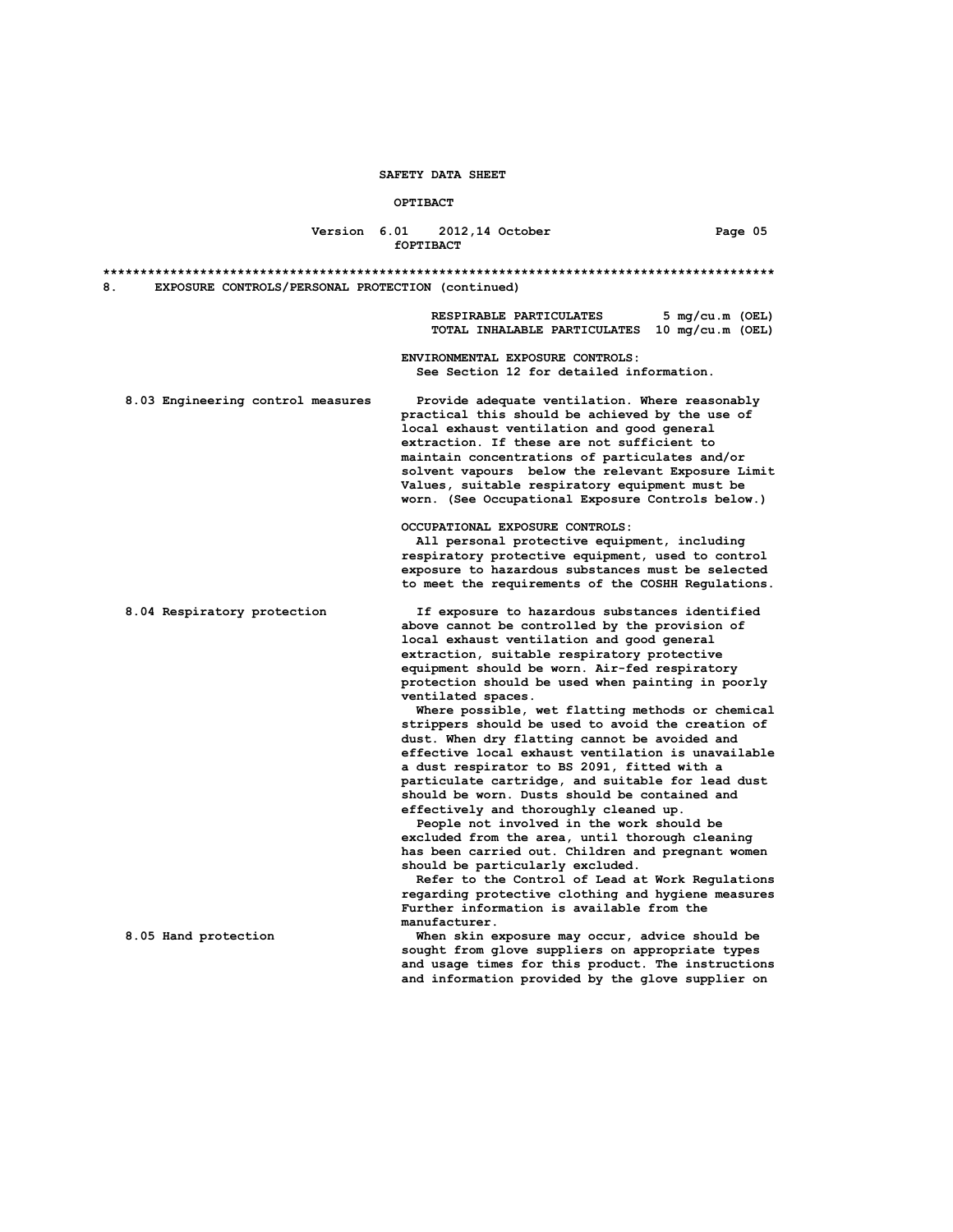#### **OPTIBACT**

## **Version 6.01 2012,14 October Page 05 fOPTIBACT**

**\*\*\*\*\*\*\*\*\*\*\*\*\*\*\*\*\*\*\*\*\*\*\*\*\*\*\*\*\*\*\*\*\*\*\*\*\*\*\*\*\*\*\*\*\*\*\*\*\*\*\*\*\*\*\*\*\*\*\*\*\*\*\*\*\*\*\*\*\*\*\*\*\*\*\*\*\*\*\*\*\*\*\*\*\*\*\*\*\*\* 8. EXPOSURE CONTROLS/PERSONAL PROTECTION (continued)**

> **RESPIRABLE PARTICULATES 5 mg/cu.m (OEL) TOTAL INHALABLE PARTICULATES 10 mg/cu.m (OEL)**

 **ENVIRONMENTAL EXPOSURE CONTROLS: See Section 12 for detailed information.**

 **8.03 Engineering control measures Provide adequate ventilation. Where reasonably practical this should be achieved by the use of local exhaust ventilation and good general extraction. If these are not sufficient to maintain concentrations of particulates and/or solvent vapours below the relevant Exposure Limit Values, suitable respiratory equipment must be worn. (See Occupational Exposure Controls below.)**

**OCCUPATIONAL EXPOSURE CONTROLS:**

 **All personal protective equipment, including respiratory protective equipment, used to control exposure to hazardous substances must be selected to meet the requirements of the COSHH Regulations.**

 **8.04 Respiratory protection If exposure to hazardous substances identified above cannot be controlled by the provision of local exhaust ventilation and good general extraction, suitable respiratory protective equipment should be worn. Air-fed respiratory protection should be used when painting in poorly ventilated spaces.**

> **Where possible, wet flatting methods or chemical strippers should be used to avoid the creation of dust. When dry flatting cannot be avoided and effective local exhaust ventilation is unavailable a dust respirator to BS 2091, fitted with a particulate cartridge, and suitable for lead dust should be worn. Dusts should be contained and effectively and thoroughly cleaned up.**

 **People not involved in the work should be excluded from the area, until thorough cleaning has been carried out. Children and pregnant women should be particularly excluded.**

 **Refer to the Control of Lead at Work Regulations regarding protective clothing and hygiene measures Further information is available from the manufacturer.**

 **8.05 Hand protection When skin exposure may occur, advice should be sought from glove suppliers on appropriate types and usage times for this product. The instructions and information provided by the glove supplier on**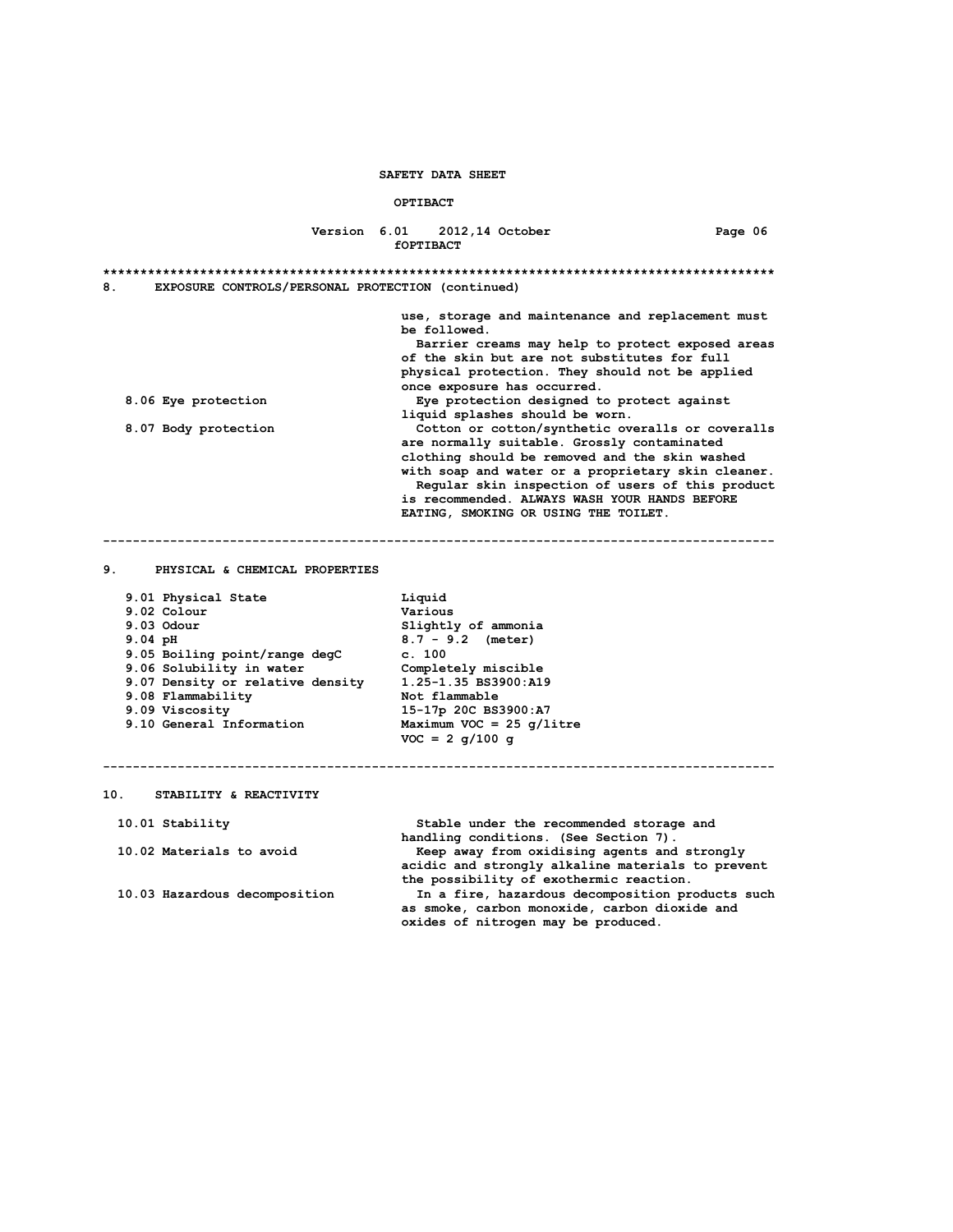#### **OPTIBACT**

# **Version 6.01 2012,14 October Page 06 fOPTIBACT \*\*\*\*\*\*\*\*\*\*\*\*\*\*\*\*\*\*\*\*\*\*\*\*\*\*\*\*\*\*\*\*\*\*\*\*\*\*\*\*\*\*\*\*\*\*\*\*\*\*\*\*\*\*\*\*\*\*\*\*\*\*\*\*\*\*\*\*\*\*\*\*\*\*\*\*\*\*\*\*\*\*\*\*\*\*\*\*\*\* 8. EXPOSURE CONTROLS/PERSONAL PROTECTION (continued) use, storage and maintenance and replacement must be followed. Barrier creams may help to protect exposed areas of the skin but are not substitutes for full physical protection. They should not be applied** once exposure has occurred.<br>8.06 Eye protection **once exposure has occurred. 8.06 Eye protection Eye protection designed to protect against liquid splashes should be worn. 8.07 Body protection Cotton or cotton/synthetic overalls or coveralls are normally suitable. Grossly contaminated clothing should be removed and the skin washed with soap and water or a proprietary skin cleaner. Regular skin inspection of users of this product is recommended. ALWAYS WASH YOUR HANDS BEFORE EATING, SMOKING OR USING THE TOILET.**

**------------------------------------------------------------------------------------------**

**------------------------------------------------------------------------------------------**

#### **9. PHYSICAL & CHEMICAL PROPERTIES**

| 9.01 Physical State              | Liquid                      |
|----------------------------------|-----------------------------|
| 9.02 Colour                      | Various                     |
| $9.03$ Odour                     | Slightly of ammonia         |
| $9.04$ pH                        | $8.7 - 9.2$ (meter)         |
| 9.05 Boiling point/range degC    | c. 100                      |
| 9.06 Solubility in water         | Completely miscible         |
| 9.07 Density or relative density | 1.25-1.35 BS3900:A19        |
| 9.08 Flammability                | Not flammable               |
| 9.09 Viscosity                   | 15-17p 20C BS3900:A7        |
| 9.10 General Information         | Maximum VOC = 25 $q/l$ itre |
|                                  | $VOC = 2 \alpha/100 \alpha$ |

#### **10. STABILITY & REACTIVITY**

 **10.01 Stability Stable under the recommended storage and** . (7 handling conditions. (See Section 7)<br>Keep away from oxidising agents and<br>Reep away from oxidising agents and Keep away from oxidising agents and strongly  **acidic and strongly alkaline materials to prevent the possibility of exothermic reaction. 10.03 Hazardous decomposition In a fire, hazardous decomposition products such as smoke, carbon monoxide, carbon dioxide and oxides of nitrogen may be produced.**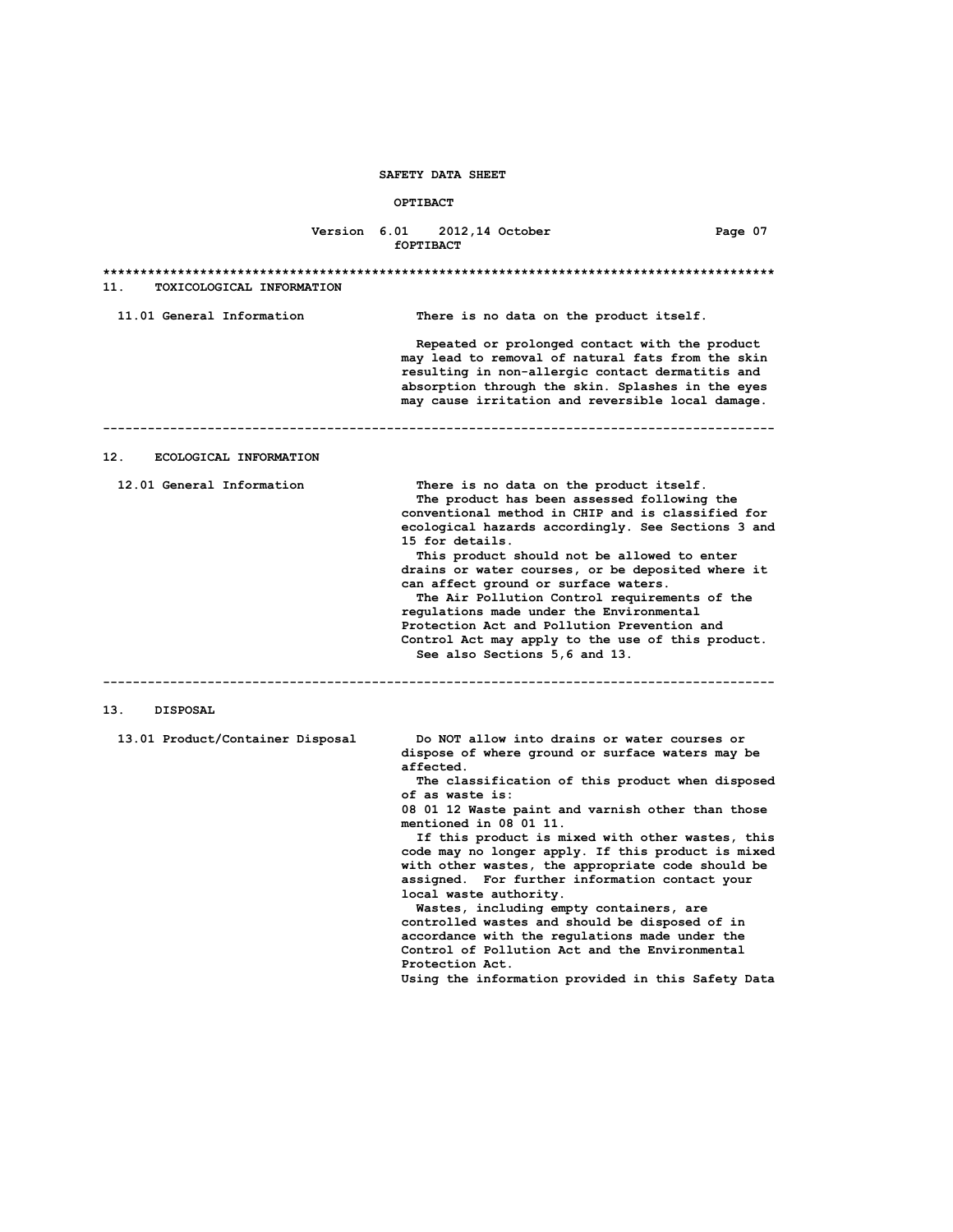#### **OPTIBACT**

## **Version 6.01 2012,14 October Page 07 fOPTIBACT**

**\*\*\*\*\*\*\*\*\*\*\*\*\*\*\*\*\*\*\*\*\*\*\*\*\*\*\*\*\*\*\*\*\*\*\*\*\*\*\*\*\*\*\*\*\*\*\*\*\*\*\*\*\*\*\*\*\*\*\*\*\*\*\*\*\*\*\*\*\*\*\*\*\*\*\*\*\*\*\*\*\*\*\*\*\*\*\*\*\*\* 11. TOXICOLOGICAL INFORMATION 11.01 General Information There is no data on the product itself. Repeated or prolonged contact with the product may lead to removal of natural fats from the skin resulting in non-allergic contact dermatitis and absorption through the skin. Splashes in the eyes may cause irritation and reversible local damage. ------------------------------------------------------------------------------------------ 12. ECOLOGICAL INFORMATION 12.01 General Information There is no data on the product itself. The product has been assessed following the conventional method in CHIP and is classified for ecological hazards accordingly. See Sections 3 and 15 for details. This product should not be allowed to enter drains or water courses, or be deposited where it can affect ground or surface waters. The Air Pollution Control requirements of the regulations made under the Environmental Protection Act and Pollution Prevention and Control Act may apply to the use of this product. See also Sections 5,6 and 13. ------------------------------------------------------------------------------------------ 13. DISPOSAL 13.01 Product/Container Disposal Do NOT allow into drains or water courses or dispose of where ground or surface waters may be affected. The classification of this product when disposed of as waste is: 08 01 12 Waste paint and varnish other than those mentioned in 08 01 11. If this product is mixed with other wastes, this code may no longer apply. If this product is mixed with other wastes, the appropriate code should be assigned. For further information contact your local waste authority. Wastes, including empty containers, are controlled wastes and should be disposed of in accordance with the regulations made under the Control of Pollution Act and the Environmental Protection Act. Using the information provided in this Safety Data**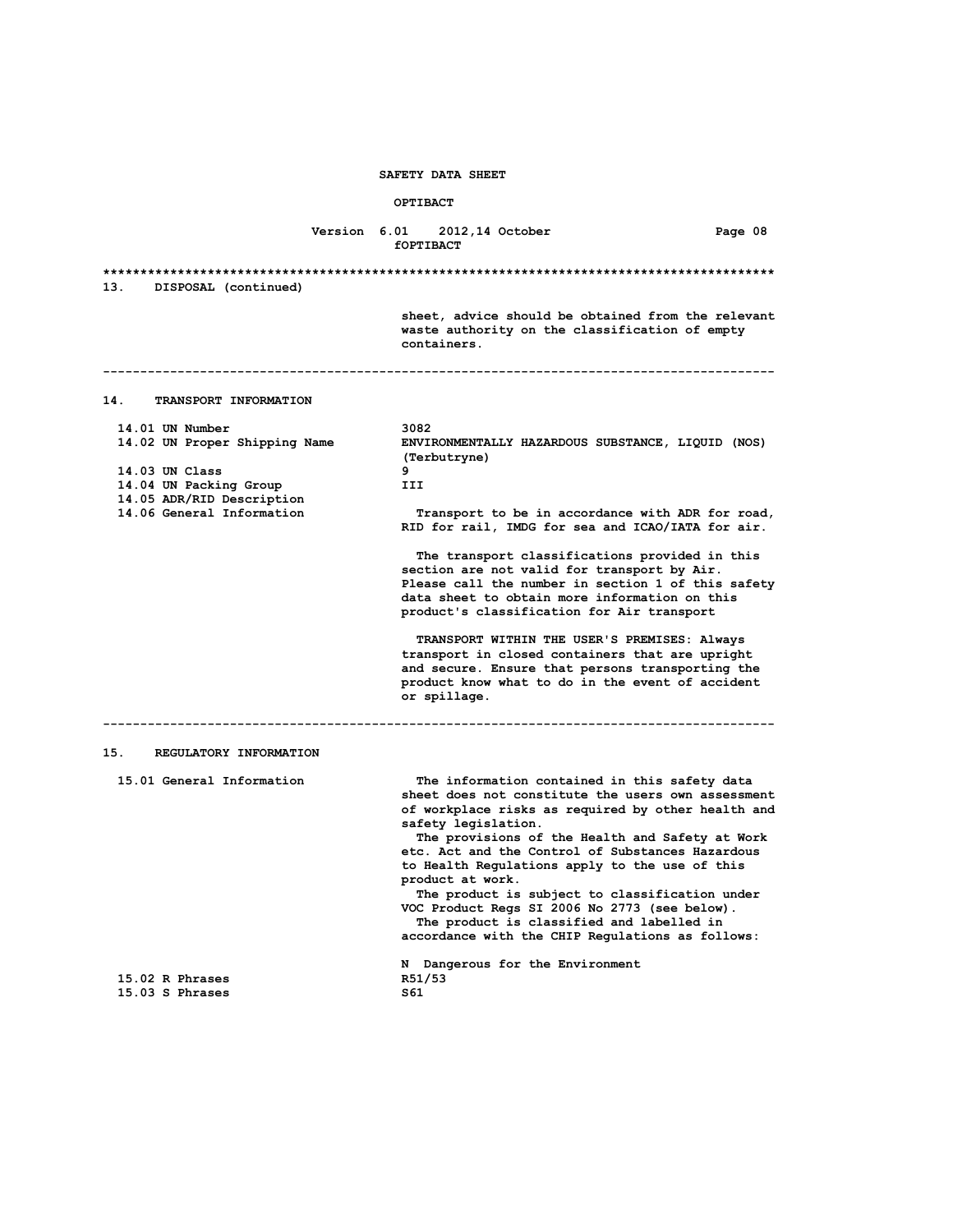## **OPTIBACT**

# **Version 6.01 2012,14 October Page 08 fOPTIBACT \*\*\*\*\*\*\*\*\*\*\*\*\*\*\*\*\*\*\*\*\*\*\*\*\*\*\*\*\*\*\*\*\*\*\*\*\*\*\*\*\*\*\*\*\*\*\*\*\*\*\*\*\*\*\*\*\*\*\*\*\*\*\*\*\*\*\*\*\*\*\*\*\*\*\*\*\*\*\*\*\*\*\*\*\*\*\*\*\*\* 13. DISPOSAL (continued)**

**------------------------------------------------------------------------------------------**

 **sheet, advice should be obtained from the relevant waste authority on the classification of empty containers.**

**14. TRANSPORT INFORMATION**

| 14.01 UN Number               | 3082                                                              |
|-------------------------------|-------------------------------------------------------------------|
| 14.02 UN Proper Shipping Name | ENVIRONMENTALLY HAZARDOUS SUBSTANCE, LIQUID (NOS)<br>(Terbutryne) |
| $14.03$ UN Class              | 9                                                                 |
| 14.04 UN Packing Group        | III                                                               |
| 14.05 ADR/RID Description     |                                                                   |
| 14.06 General Information     | Transport to be in accordance with ADR for road,                  |
|                               | RID for rail, IMDG for sea and ICAO/IATA for air.                 |
|                               | The transport classifications provided in this                    |
|                               | section are not valid for transport by Air.                       |
|                               | Please call the number in section 1 of this safety                |
|                               | data sheet to obtain more information on this                     |
|                               | product's classification for Air transport                        |
|                               | TRANSPORT WITHIN THE USER'S PREMISES: Always                      |
|                               | transport in closed containers that are upright                   |
|                               | and secure. Ensure that persons transporting the                  |
|                               | product know what to do in the event of accident                  |
|                               | or spillage.                                                      |
|                               |                                                                   |
| 15.<br>REGULATORY INFORMATION |                                                                   |
| 15.01 General Information     | The information contained in this safety data                     |
|                               | sheet does not constitute the users own assessment                |
|                               | of workplace risks as required by other health and                |
|                               | safety legislation.                                               |
|                               | The provisions of the Health and Safety at Work                   |
|                               | etc. Act and the Control of Substances Hazardous                  |
|                               | to Health Regulations apply to the use of this                    |
|                               | product at work.                                                  |
|                               | The product is subject to classification under                    |
|                               | VOC Product Regs SI 2006 No 2773 (see below).                     |
|                               | The product is classified and labelled in                         |
|                               |                                                                   |
|                               |                                                                   |
|                               | accordance with the CHIP Regulations as follows:                  |
|                               | N Dangerous for the Environment                                   |
| $15.02$ R Phrases             | R51/53                                                            |
| 15.03 S Phrases               | S61                                                               |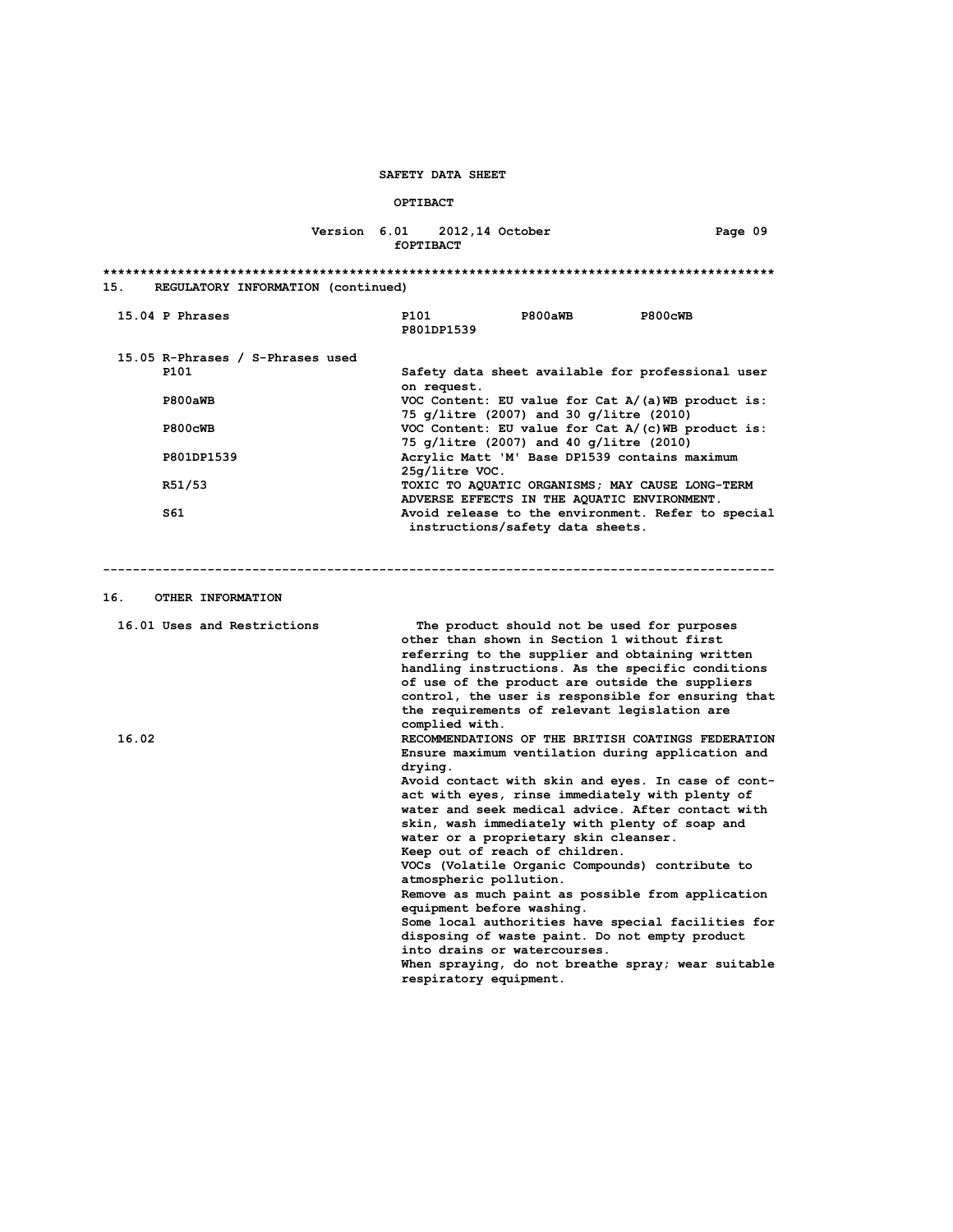# **OPTIBACT**

# **Version 6.01 2012,14 October Page 09 fOPTIBACT**

| 15.<br>REGULATORY INFORMATION (continued) |                                                                                               |  |                                                                                                                                                                                                                                                                                                                                                         |                                                                                                                                                                                                                        |                                                                                                                                                                                                                                                                            |  |
|-------------------------------------------|-----------------------------------------------------------------------------------------------|--|---------------------------------------------------------------------------------------------------------------------------------------------------------------------------------------------------------------------------------------------------------------------------------------------------------------------------------------------------------|------------------------------------------------------------------------------------------------------------------------------------------------------------------------------------------------------------------------|----------------------------------------------------------------------------------------------------------------------------------------------------------------------------------------------------------------------------------------------------------------------------|--|
|                                           | 15.04 P Phrases                                                                               |  | P101<br>P801DP1539                                                                                                                                                                                                                                                                                                                                      | P800aWB                                                                                                                                                                                                                | P800cWB                                                                                                                                                                                                                                                                    |  |
|                                           | 15.05 R-Phrases / S-Phrases used<br>P101<br>P800aWB<br>P800cWB<br>P801DP1539<br>R51/53<br>S61 |  | on request.<br>$25q/litter$ VOC.                                                                                                                                                                                                                                                                                                                        | 75 g/litre (2007) and 30 g/litre (2010)<br>75 g/litre (2007) and 40 g/litre (2010)<br>Acrylic Matt 'M' Base DP1539 contains maximum<br>ADVERSE EFFECTS IN THE AQUATIC ENVIRONMENT.<br>instructions/safety data sheets. | Safety data sheet available for professional user<br>VOC Content: EU value for Cat $A/(a)$ WB product is:<br>VOC Content: EU value for Cat $A/(c)$ WB product is:<br>TOXIC TO AQUATIC ORGANISMS; MAY CAUSE LONG-TERM<br>Avoid release to the environment. Refer to special |  |
| 16.                                       | OTHER INFORMATION                                                                             |  |                                                                                                                                                                                                                                                                                                                                                         |                                                                                                                                                                                                                        |                                                                                                                                                                                                                                                                            |  |
| 16.02                                     | 16.01 Uses and Restrictions                                                                   |  | complied with.                                                                                                                                                                                                                                                                                                                                          | The product should not be used for purposes<br>other than shown in Section 1 without first<br>the requirements of relevant legislation are                                                                             | referring to the supplier and obtaining written<br>handling instructions. As the specific conditions<br>of use of the product are outside the suppliers<br>control, the user is responsible for ensuring that<br>RECOMMENDATIONS OF THE BRITISH COATINGS FEDERATION        |  |
|                                           |                                                                                               |  | Ensure maximum ventilation during application and<br>drying.<br>Avoid contact with skin and eyes. In case of cont-<br>act with eyes, rinse immediately with plenty of<br>water and seek medical advice. After contact with<br>skin, wash immediately with plenty of soap and<br>water or a proprietary skin cleanser.<br>Keep out of reach of children. |                                                                                                                                                                                                                        |                                                                                                                                                                                                                                                                            |  |
|                                           |                                                                                               |  | atmospheric pollution.<br>equipment before washing.                                                                                                                                                                                                                                                                                                     |                                                                                                                                                                                                                        | VOCs (Volatile Organic Compounds) contribute to<br>Remove as much paint as possible from application<br>Some local authorities have special facilities for                                                                                                                 |  |
|                                           |                                                                                               |  | into drains or watercourses.<br>respiratory equipment.                                                                                                                                                                                                                                                                                                  | disposing of waste paint. Do not empty product                                                                                                                                                                         | When spraying, do not breathe spray; wear suitable                                                                                                                                                                                                                         |  |